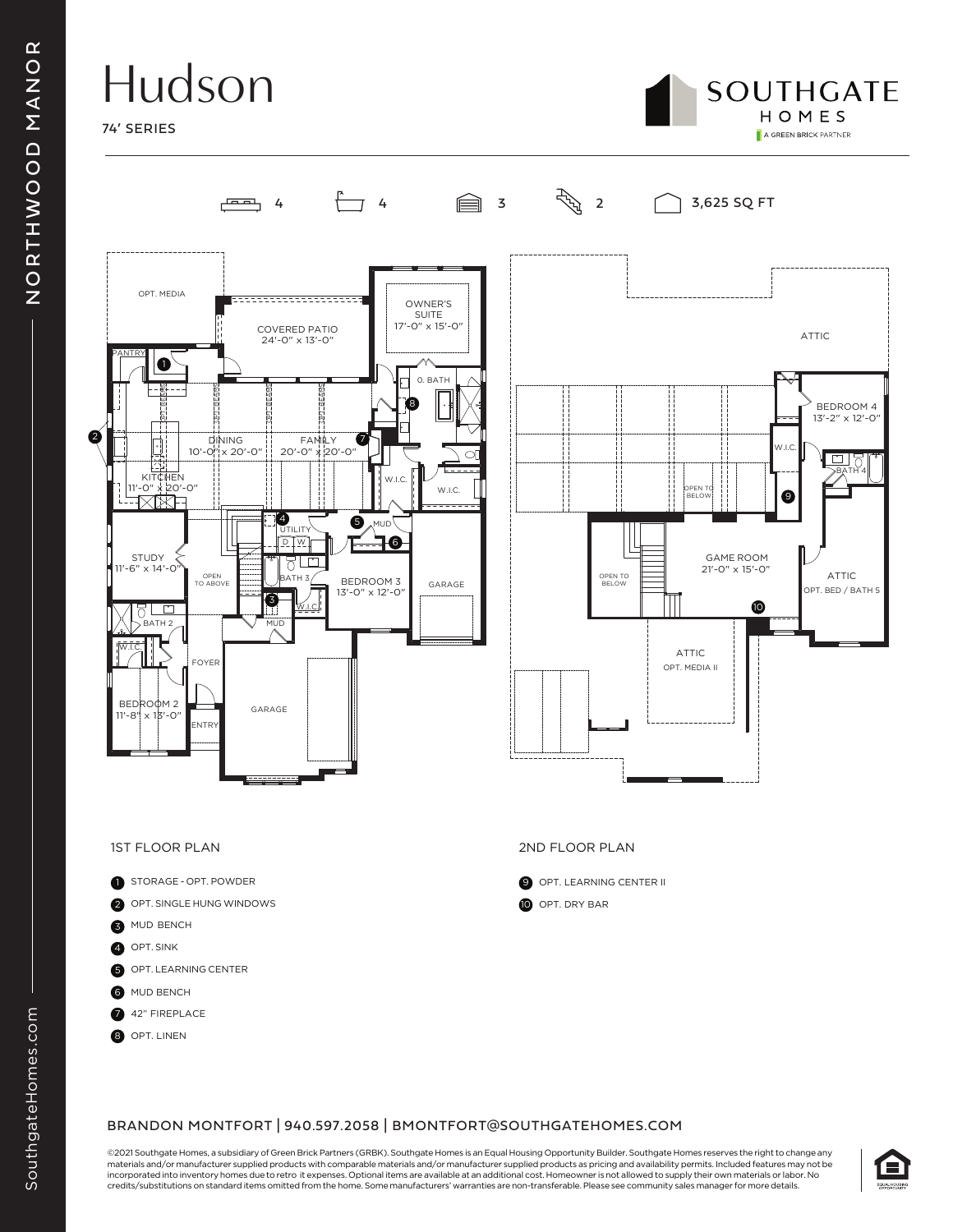# Hudson







- 1 STORAGE OPT. POWDER
- 2 OPT. SINGLE HUNG WINDOWS
- 3 MUD BENCH
- 4 OPT. SINK
- 5 OPT. LEARNING CENTER
- **6** MUD BENCH
- 7 42" FIREPLACE
- 8 OPT. LINEN

#### 1ST FLOOR PLAN 2ND FLOOR PLAN

**9** OPT. LEARNING CENTER II 10 OPT. DRY BAR

### BRANDON MONTFORT | 940.597.2058 | BMONTFORT@SOUTHGATEHOMES.COM

©2021 Southgate Homes, a subsidiary of Green Brick Partners (GRBK). Southgate Homes is an Equal Housing Opportunity Builder. Southgate Homes reserves the right to change any materials and/or manufacturer supplied products with comparable materials and/or manufacturer supplied products as pricing and availability permits. Included features may not be incorporated into inventory homes due to retro it expenses. Optional items are available at an additional cost. Homeowner is not allowed to supply their own materials or labor. No credits/substitutions on standard items omitted from the home. Some manufacturers' warranties are non-transferable. Please see community sales manager for more details.